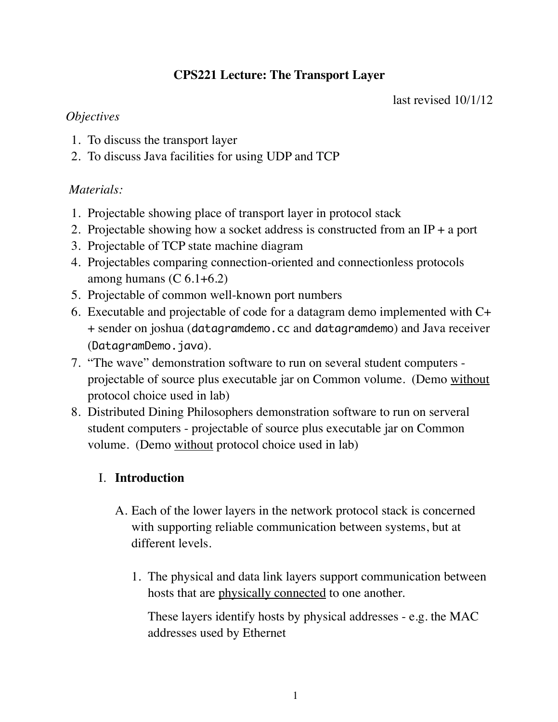# **CPS221 Lecture: The Transport Layer**

last revised 10/1/12

### *Objectives*

- 1. To discuss the transport layer
- 2. To discuss Java facilities for using UDP and TCP

# *Materials:*

- 1. Projectable showing place of transport layer in protocol stack
- 2. Projectable showing how a socket address is constructed from an IP + a port
- 3. Projectable of TCP state machine diagram
- 4. Projectables comparing connection-oriented and connectionless protocols among humans  $(C 6.1 + 6.2)$
- 5. Projectable of common well-known port numbers
- 6. Executable and projectable of code for a datagram demo implemented with C+ + sender on joshua (datagramdemo.cc and datagramdemo) and Java receiver (DatagramDemo.java).
- 7. "The wave" demonstration software to run on several student computers projectable of source plus executable jar on Common volume. (Demo without protocol choice used in lab)
- 8. Distributed Dining Philosophers demonstration software to run on serveral student computers - projectable of source plus executable jar on Common volume. (Demo without protocol choice used in lab)

# I. **Introduction**

- A. Each of the lower layers in the network protocol stack is concerned with supporting reliable communication between systems, but at different levels.
	- 1. The physical and data link layers support communication between hosts that are physically connected to one another.

These layers identify hosts by physical addresses - e.g. the MAC addresses used by Ethernet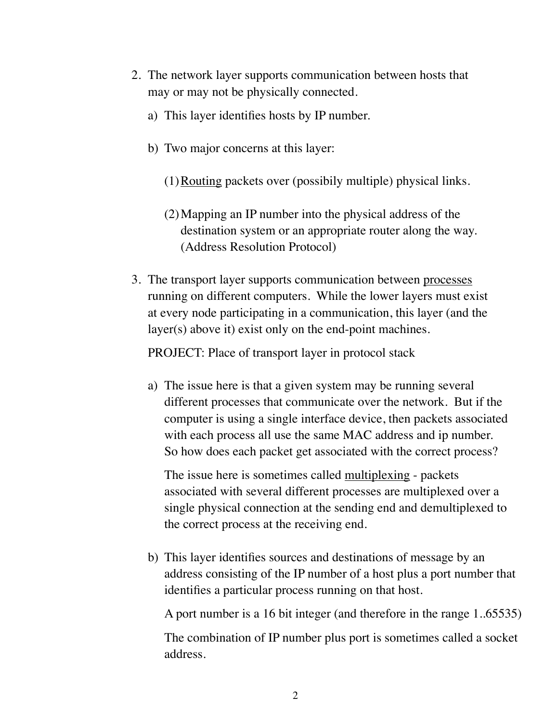- 2. The network layer supports communication between hosts that may or may not be physically connected.
	- a) This layer identifies hosts by IP number.
	- b) Two major concerns at this layer:
		- (1)Routing packets over (possibily multiple) physical links.
		- (2)Mapping an IP number into the physical address of the destination system or an appropriate router along the way. (Address Resolution Protocol)
- 3. The transport layer supports communication between processes running on different computers. While the lower layers must exist at every node participating in a communication, this layer (and the layer(s) above it) exist only on the end-point machines.

PROJECT: Place of transport layer in protocol stack

a) The issue here is that a given system may be running several different processes that communicate over the network. But if the computer is using a single interface device, then packets associated with each process all use the same MAC address and ip number. So how does each packet get associated with the correct process?

The issue here is sometimes called multiplexing - packets associated with several different processes are multiplexed over a single physical connection at the sending end and demultiplexed to the correct process at the receiving end.

b) This layer identifies sources and destinations of message by an address consisting of the IP number of a host plus a port number that identifies a particular process running on that host.

A port number is a 16 bit integer (and therefore in the range 1..65535)

The combination of IP number plus port is sometimes called a socket address.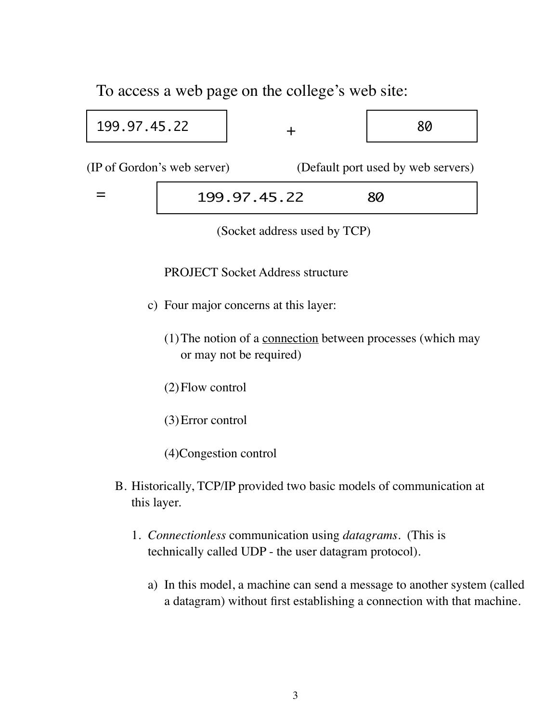To access a web page on the college's web site:

Г

| 199.97.45.22                                                      |  |              | 80 |
|-------------------------------------------------------------------|--|--------------|----|
| (IP of Gordon's web server)<br>(Default port used by web servers) |  |              |    |
|                                                                   |  | 199.97.45.22 | 80 |

(Socket address used by TCP)

PROJECT Socket Address structure

- c) Four major concerns at this layer:
	- (1)The notion of a connection between processes (which may or may not be required)
	- (2)Flow control
	- (3)Error control
	- (4)Congestion control
- B. Historically, TCP/IP provided two basic models of communication at this layer.
	- 1. *Connectionless* communication using *datagrams.* (This is technically called UDP - the user datagram protocol).
		- a) In this model, a machine can send a message to another system (called a datagram) without first establishing a connection with that machine.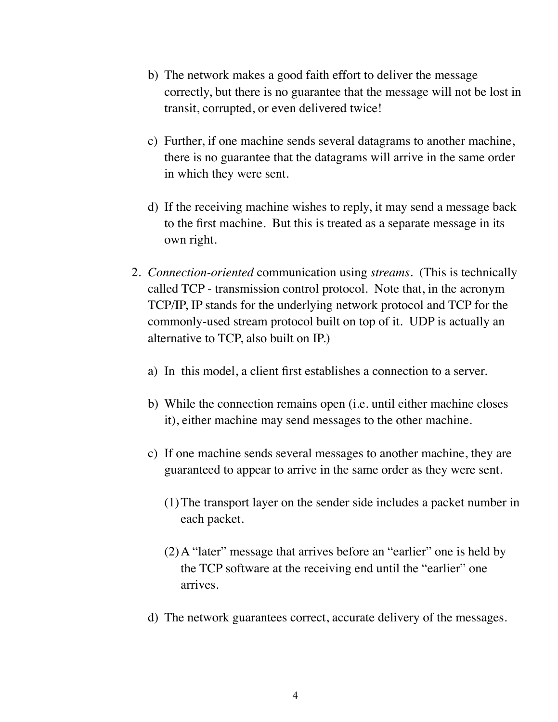- b) The network makes a good faith effort to deliver the message correctly, but there is no guarantee that the message will not be lost in transit, corrupted, or even delivered twice!
- c) Further, if one machine sends several datagrams to another machine, there is no guarantee that the datagrams will arrive in the same order in which they were sent.
- d) If the receiving machine wishes to reply, it may send a message back to the first machine. But this is treated as a separate message in its own right.
- 2. *Connection-oriented* communication using *streams*. (This is technically called TCP - transmission control protocol. Note that, in the acronym TCP/IP, IP stands for the underlying network protocol and TCP for the commonly-used stream protocol built on top of it. UDP is actually an alternative to TCP, also built on IP.)
	- a) In this model, a client first establishes a connection to a server.
	- b) While the connection remains open (i.e. until either machine closes it), either machine may send messages to the other machine.
	- c) If one machine sends several messages to another machine, they are guaranteed to appear to arrive in the same order as they were sent.
		- (1)The transport layer on the sender side includes a packet number in each packet.
		- (2)A "later" message that arrives before an "earlier" one is held by the TCP software at the receiving end until the "earlier" one arrives.
	- d) The network guarantees correct, accurate delivery of the messages.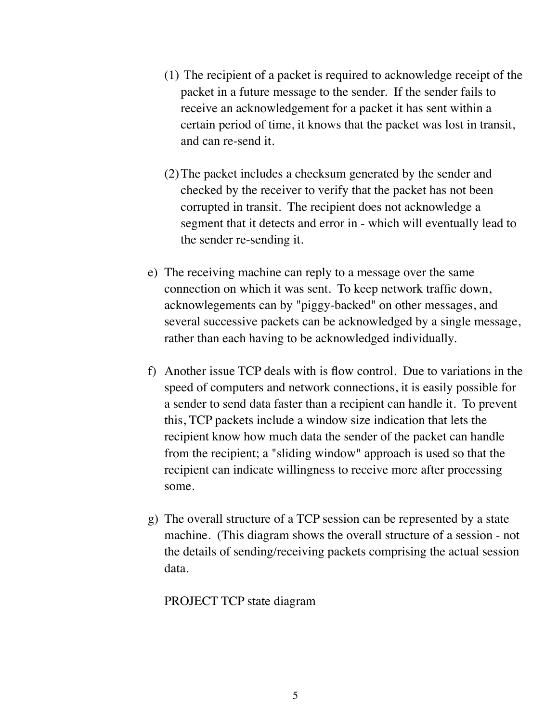- (1) The recipient of a packet is required to acknowledge receipt of the packet in a future message to the sender. If the sender fails to receive an acknowledgement for a packet it has sent within a certain period of time, it knows that the packet was lost in transit, and can re-send it.
- (2)The packet includes a checksum generated by the sender and checked by the receiver to verify that the packet has not been corrupted in transit. The recipient does not acknowledge a segment that it detects and error in - which will eventually lead to the sender re-sending it.
- e) The receiving machine can reply to a message over the same connection on which it was sent. To keep network traffic down, acknowlegements can by "piggy-backed" on other messages, and several successive packets can be acknowledged by a single message, rather than each having to be acknowledged individually.
- f) Another issue TCP deals with is flow control. Due to variations in the speed of computers and network connections, it is easily possible for a sender to send data faster than a recipient can handle it. To prevent this, TCP packets include a window size indication that lets the recipient know how much data the sender of the packet can handle from the recipient; a "sliding window" approach is used so that the recipient can indicate willingness to receive more after processing some.
- g) The overall structure of a TCP session can be represented by a state machine. (This diagram shows the overall structure of a session - not the details of sending/receiving packets comprising the actual session data.

#### PROJECT TCP state diagram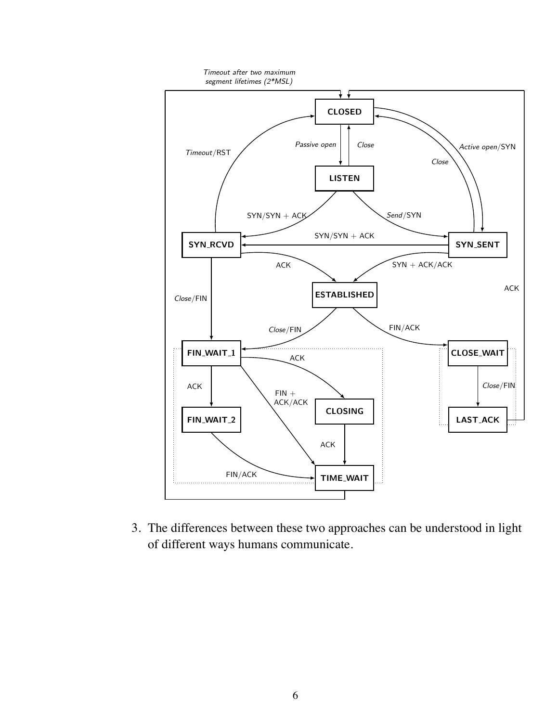

3. The differences between these two approaches can be understood in light of different ways humans communicate.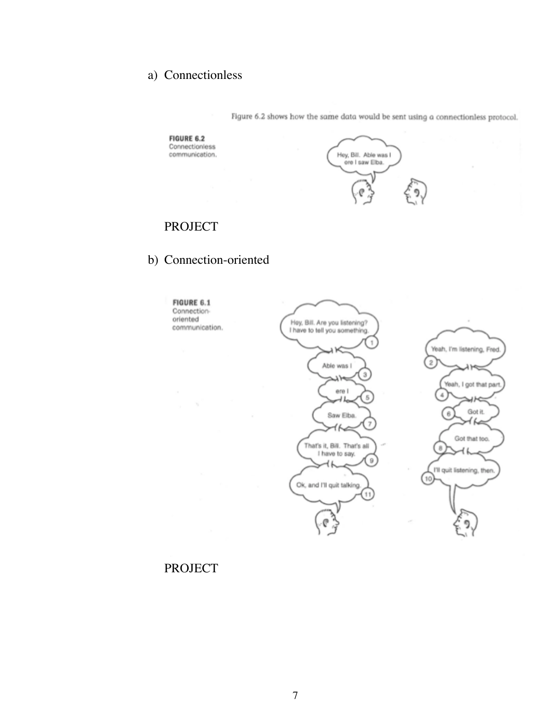## a) Connectionless

**FIGURE 6.2** Connectionless

communication.



Figure 6.2 shows how the same data would be sent using a connectionless protocol.

## PROJECT

#### b) Connection-oriented

**FIGURE 6.1** Connectionoriented communication.



#### PROJECT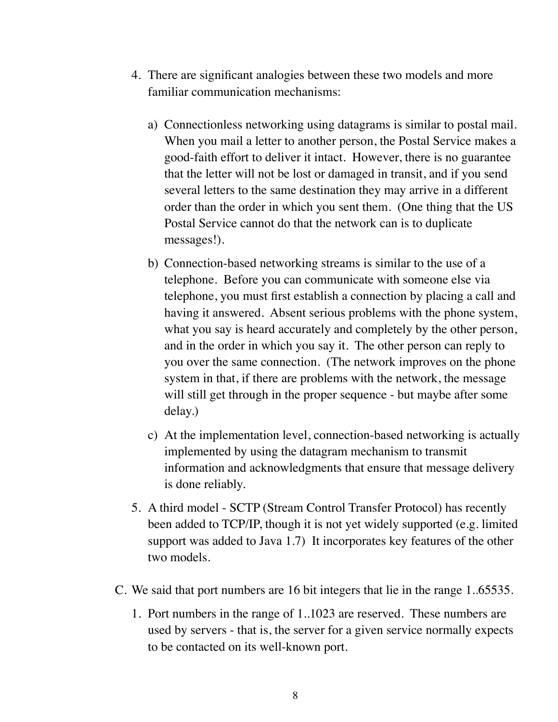- 4. There are significant analogies between these two models and more familiar communication mechanisms:
	- a) Connectionless networking using datagrams is similar to postal mail. When you mail a letter to another person, the Postal Service makes a good-faith effort to deliver it intact. However, there is no guarantee that the letter will not be lost or damaged in transit, and if you send several letters to the same destination they may arrive in a different order than the order in which you sent them. (One thing that the US Postal Service cannot do that the network can is to duplicate messages!).
	- b) Connection-based networking streams is similar to the use of a telephone. Before you can communicate with someone else via telephone, you must first establish a connection by placing a call and having it answered. Absent serious problems with the phone system, what you say is heard accurately and completely by the other person, and in the order in which you say it. The other person can reply to you over the same connection. (The network improves on the phone system in that, if there are problems with the network, the message will still get through in the proper sequence - but maybe after some delay.)
	- c) At the implementation level, connection-based networking is actually implemented by using the datagram mechanism to transmit information and acknowledgments that ensure that message delivery is done reliably.
- 5. A third model SCTP (Stream Control Transfer Protocol) has recently been added to TCP/IP, though it is not yet widely supported (e.g. limited support was added to Java 1.7) It incorporates key features of the other two models.
- C. We said that port numbers are 16 bit integers that lie in the range 1..65535.
	- 1. Port numbers in the range of 1..1023 are reserved. These numbers are used by servers - that is, the server for a given service normally expects to be contacted on its well-known port.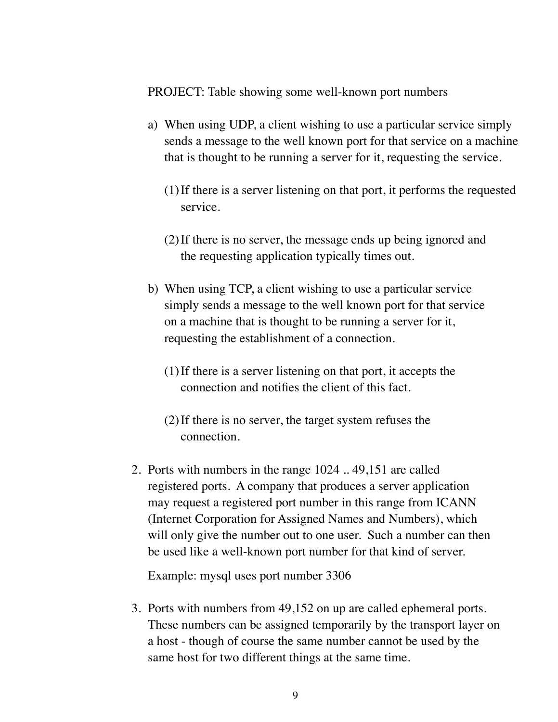PROJECT: Table showing some well-known port numbers

- a) When using UDP, a client wishing to use a particular service simply sends a message to the well known port for that service on a machine that is thought to be running a server for it, requesting the service.
	- (1)If there is a server listening on that port, it performs the requested service.
	- (2)If there is no server, the message ends up being ignored and the requesting application typically times out.
- b) When using TCP, a client wishing to use a particular service simply sends a message to the well known port for that service on a machine that is thought to be running a server for it, requesting the establishment of a connection.
	- (1)If there is a server listening on that port, it accepts the connection and notifies the client of this fact.
	- (2)If there is no server, the target system refuses the connection.
- 2. Ports with numbers in the range 1024 .. 49,151 are called registered ports. A company that produces a server application may request a registered port number in this range from ICANN (Internet Corporation for Assigned Names and Numbers), which will only give the number out to one user. Such a number can then be used like a well-known port number for that kind of server.

Example: mysql uses port number 3306

3. Ports with numbers from 49,152 on up are called ephemeral ports. These numbers can be assigned temporarily by the transport layer on a host - though of course the same number cannot be used by the same host for two different things at the same time.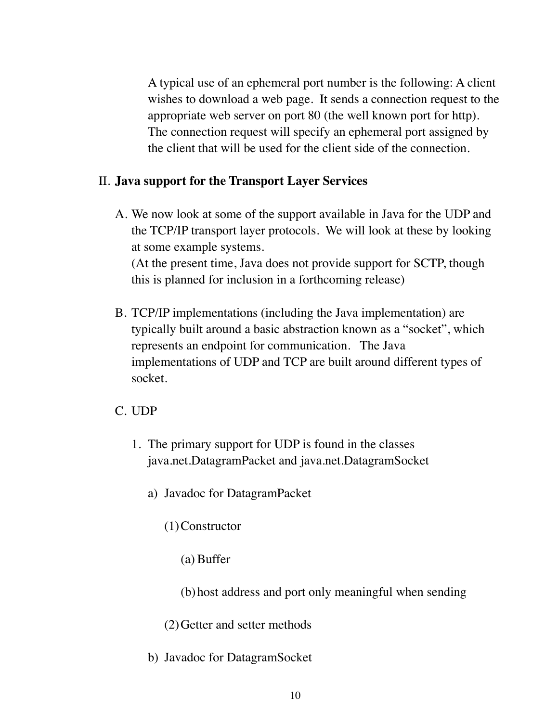A typical use of an ephemeral port number is the following: A client wishes to download a web page. It sends a connection request to the appropriate web server on port 80 (the well known port for http). The connection request will specify an ephemeral port assigned by the client that will be used for the client side of the connection.

### II. **Java support for the Transport Layer Services**

A. We now look at some of the support available in Java for the UDP and the TCP/IP transport layer protocols. We will look at these by looking at some example systems.

(At the present time, Java does not provide support for SCTP, though this is planned for inclusion in a forthcoming release)

B. TCP/IP implementations (including the Java implementation) are typically built around a basic abstraction known as a "socket", which represents an endpoint for communication. The Java implementations of UDP and TCP are built around different types of socket.

### C. UDP

- 1. The primary support for UDP is found in the classes java.net.DatagramPacket and java.net.DatagramSocket
	- a) Javadoc for DatagramPacket
		- (1)Constructor
			- (a) Buffer
			- (b)host address and port only meaningful when sending
		- (2)Getter and setter methods
	- b) Javadoc for DatagramSocket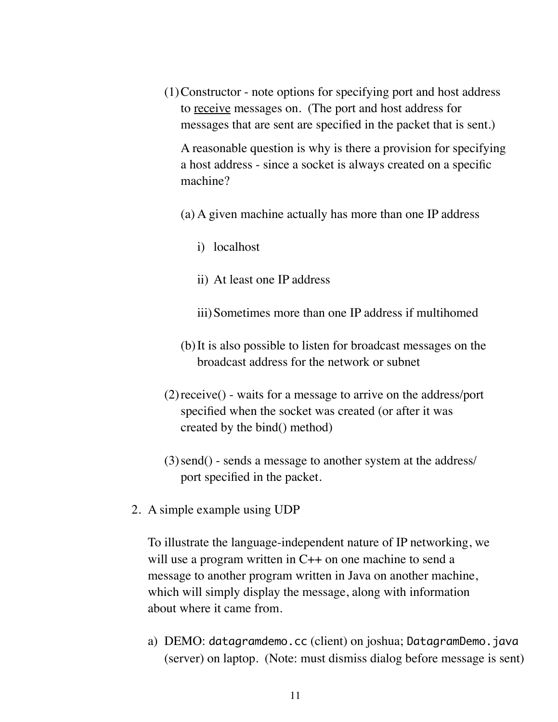(1)Constructor - note options for specifying port and host address to receive messages on. (The port and host address for messages that are sent are specified in the packet that is sent.)

A reasonable question is why is there a provision for specifying a host address - since a socket is always created on a specific machine?

- (a) A given machine actually has more than one IP address
	- i) localhost
	- ii) At least one IP address
	- iii)Sometimes more than one IP address if multihomed
- (b)It is also possible to listen for broadcast messages on the broadcast address for the network or subnet
- (2)receive() waits for a message to arrive on the address/port specified when the socket was created (or after it was created by the bind() method)
- (3)send() sends a message to another system at the address/ port specified in the packet.
- 2. A simple example using UDP

To illustrate the language-independent nature of IP networking, we will use a program written in C++ on one machine to send a message to another program written in Java on another machine, which will simply display the message, along with information about where it came from.

a) DEMO: datagramdemo.cc (client) on joshua; DatagramDemo.java (server) on laptop. (Note: must dismiss dialog before message is sent)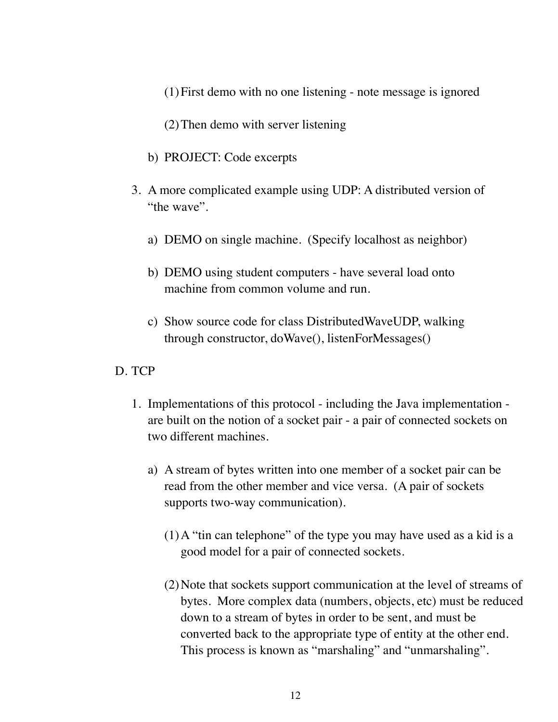- (1)First demo with no one listening note message is ignored
- (2)Then demo with server listening
- b) PROJECT: Code excerpts
- 3. A more complicated example using UDP: A distributed version of "the wave".
	- a) DEMO on single machine. (Specify localhost as neighbor)
	- b) DEMO using student computers have several load onto machine from common volume and run.
	- c) Show source code for class DistributedWaveUDP, walking through constructor, doWave(), listenForMessages()

#### D. TCP

- 1. Implementations of this protocol including the Java implementation are built on the notion of a socket pair - a pair of connected sockets on two different machines.
	- a) A stream of bytes written into one member of a socket pair can be read from the other member and vice versa. (A pair of sockets supports two-way communication).
		- (1)A "tin can telephone" of the type you may have used as a kid is a good model for a pair of connected sockets.
		- (2)Note that sockets support communication at the level of streams of bytes. More complex data (numbers, objects, etc) must be reduced down to a stream of bytes in order to be sent, and must be converted back to the appropriate type of entity at the other end. This process is known as "marshaling" and "unmarshaling".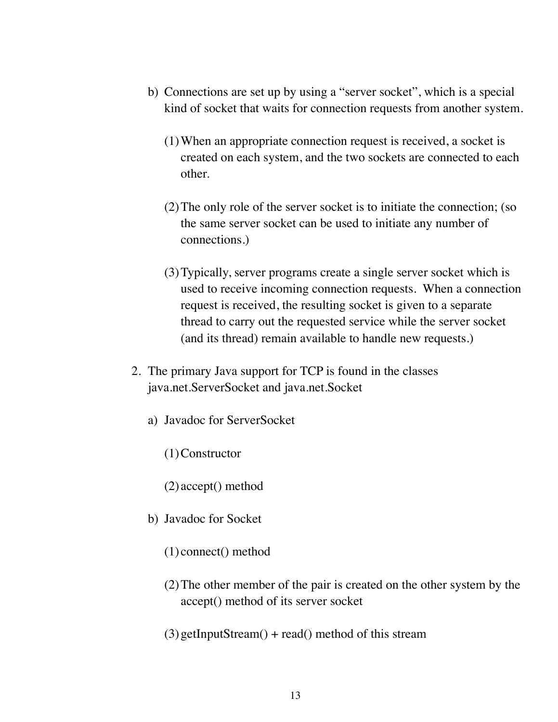- b) Connections are set up by using a "server socket", which is a special kind of socket that waits for connection requests from another system.
	- (1)When an appropriate connection request is received, a socket is created on each system, and the two sockets are connected to each other.
	- (2)The only role of the server socket is to initiate the connection; (so the same server socket can be used to initiate any number of connections.)
	- (3)Typically, server programs create a single server socket which is used to receive incoming connection requests. When a connection request is received, the resulting socket is given to a separate thread to carry out the requested service while the server socket (and its thread) remain available to handle new requests.)
- 2. The primary Java support for TCP is found in the classes java.net.ServerSocket and java.net.Socket
	- a) Javadoc for ServerSocket
		- (1)Constructor
		- (2) accept() method
	- b) Javadoc for Socket
		- (1) connect() method
		- (2)The other member of the pair is created on the other system by the accept() method of its server socket
		- $(3)$  getInputStream $()$  + read $()$  method of this stream